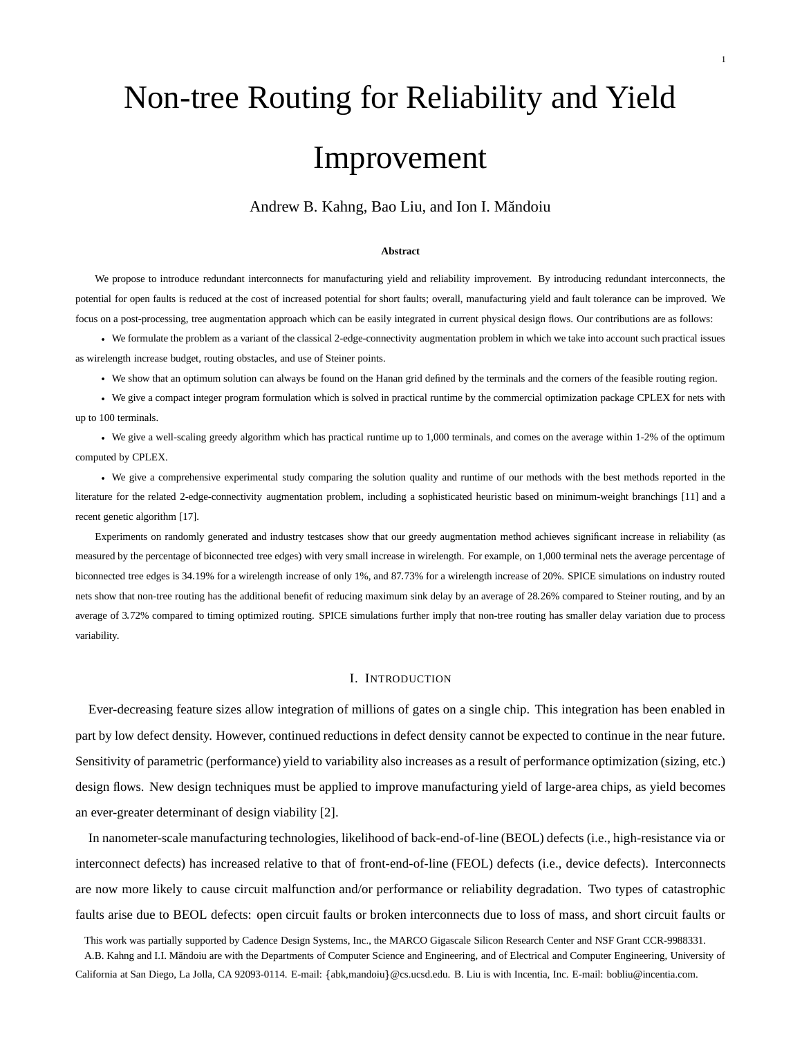# Non-tree Routing for Reliability and Yield Improvement

Andrew B. Kahng, Bao Liu, and Ion I. Mandoiu ˘

#### **Abstract**

We propose to introduce redundant interconnects for manufacturing yield and reliability improvement. By introducing redundant interconnects, the potential for open faults is reduced at the cost of increased potential for short faults; overall, manufacturing yield and fault tolerance can be improved. We focus on a post-processing, tree augmentation approach which can be easily integrated in current physical design flows. Our contributions are as follows:

 We formulate the problem as a variant of the classical 2-edge-connectivity augmentation problem in which we take into account such practical issues as wirelength increase budget, routing obstacles, and use of Steiner points.

We show that an optimum solution can always be found on the Hanan grid defined by the terminals and the corners of the feasible routing region.

 We give a compact integer program formulation which is solved in practical runtime by the commercial optimization package CPLEX for nets with up to 100 terminals.

 We give a well-scaling greedy algorithm which has practical runtime up to 1,000 terminals, and comes on the average within 1-2% of the optimum computed by CPLEX.

 We give a comprehensive experimental study comparing the solution quality and runtime of our methods with the best methods reported in the literature for the related 2-edge-connectivity augmentation problem, including a sophisticated heuristic based on minimum-weight branchings [11] and a recent genetic algorithm [17].

Experiments on randomly generated and industry testcases show that our greedy augmentation method achieves significant increase in reliability (as measured by the percentage of biconnected tree edges) with very small increase in wirelength. For example, on 1,000 terminal nets the average percentage of biconnected tree edges is 34.19% for a wirelength increase of only 1%, and 87.73% for a wirelength increase of 20%. SPICE simulations on industry routed nets show that non-tree routing has the additional benefit of reducing maximum sink delay by an average of 28.26% compared to Steiner routing, and by an average of 3.72% compared to timing optimized routing. SPICE simulations further imply that non-tree routing has smaller delay variation due to process variability.

#### I. INTRODUCTION

Ever-decreasing feature sizes allow integration of millions of gates on a single chip. This integration has been enabled in part by low defect density. However, continued reductions in defect density cannot be expected to continue in the near future. Sensitivity of parametric (performance) yield to variability also increases as a result of performance optimization (sizing, etc.) design flows. New design techniques must be applied to improve manufacturing yield of large-area chips, as yield becomes an ever-greater determinant of design viability [2].

In nanometer-scale manufacturing technologies, likelihood of back-end-of-line (BEOL) defects (i.e., high-resistance via or interconnect defects) has increased relative to that of front-end-of-line (FEOL) defects (i.e., device defects). Interconnects are now more likely to cause circuit malfunction and/or performance or reliability degradation. Two types of catastrophic faults arise due to BEOL defects: open circuit faults or broken interconnects due to loss of mass, and short circuit faults or

This work was partially supported by Cadence Design Systems, Inc., the MARCO Gigascale Silicon Research Center and NSF Grant CCR-9988331. A.B. Kahng and I.I. Măndoiu are with the Departments of Computer Science and Engineering, and of Electrical and Computer Engineering, University of California at San Diego, La Jolla, CA 92093-0114. E-mail: {abk,mandoiu}@cs.ucsd.edu. B. Liu is with Incentia, Inc. E-mail: bobliu@incentia.com.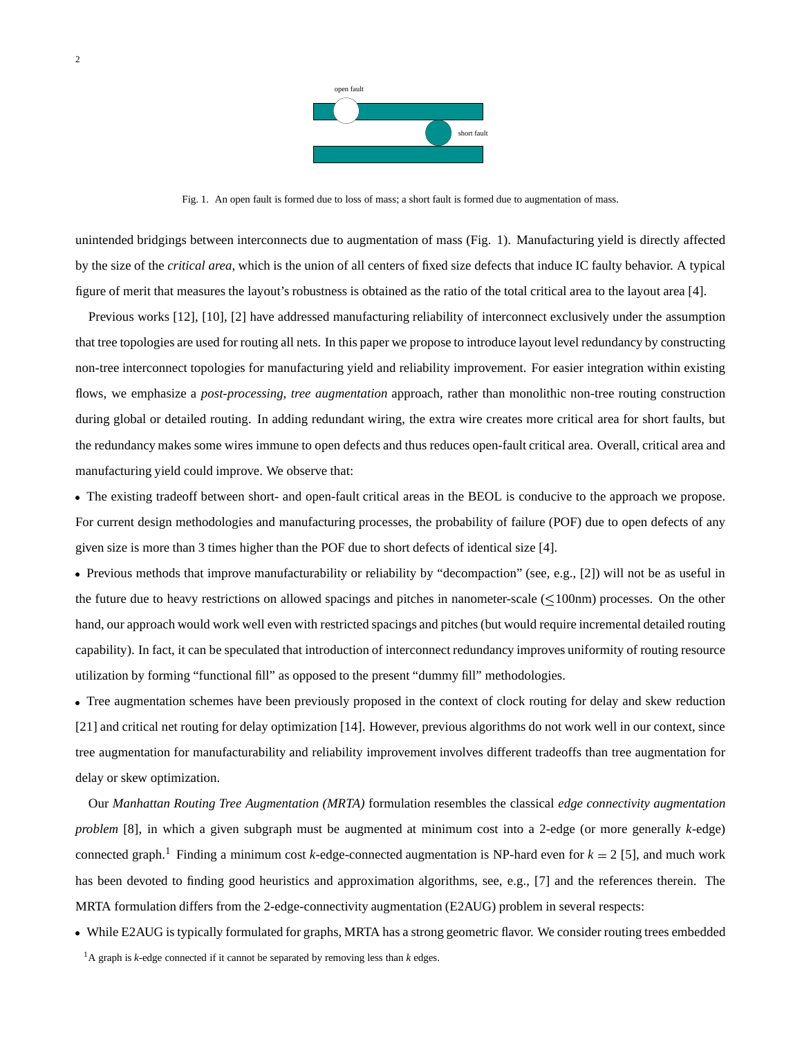

Fig. 1. An open fault is formed due to loss of mass; a short fault is formed due to augmentation of mass.

unintended bridgings between interconnects due to augmentation of mass (Fig. 1). Manufacturing yield is directly affected by the size of the *critical area*, which is the union of all centers of fixed size defects that induce IC faulty behavior. A typical figure of merit that measures the layout's robustness is obtained as the ratio of the total critical area to the layout area [4].

Previous works [12], [10], [2] have addressed manufacturing reliability of interconnect exclusively under the assumption that tree topologies are used for routing all nets. In this paper we propose to introduce layout level redundancy by constructing non-tree interconnect topologies for manufacturing yield and reliability improvement. For easier integration within existing flows, we emphasize a *post-processing, tree augmentation* approach, rather than monolithic non-tree routing construction during global or detailed routing. In adding redundant wiring, the extra wire creates more critical area for short faults, but the redundancy makes some wires immune to open defects and thus reduces open-fault critical area. Overall, critical area and manufacturing yield could improve. We observe that:

 The existing tradeoff between short- and open-fault critical areas in the BEOL is conducive to the approach we propose. For current design methodologies and manufacturing processes, the probability of failure (POF) due to open defects of any given size is more than 3 times higher than the POF due to short defects of identical size [4].

 Previous methods that improve manufacturability or reliability by "decompaction" (see, e.g., [2]) will not be as useful in the future due to heavy restrictions on allowed spacings and pitches in nanometer-scale  $(\leq 100 \text{nm})$  processes. On the other hand, our approach would work well even with restricted spacings and pitches (but would require incremental detailed routing capability). In fact, it can be speculated that introduction of interconnect redundancy improves uniformity of routing resource utilization by forming "functional fill" as opposed to the present "dummy fill" methodologies.

 Tree augmentation schemes have been previously proposed in the context of clock routing for delay and skew reduction [21] and critical net routing for delay optimization [14]. However, previous algorithms do not work well in our context, since tree augmentation for manufacturability and reliability improvement involves different tradeoffs than tree augmentation for delay or skew optimization.

Our *Manhattan Routing Tree Augmentation (MRTA)* formulation resembles the classical *edge connectivity augmentation problem* [8], in which a given subgraph must be augmented at minimum cost into a 2-edge (or more generally *k*-edge) connected graph.<sup>1</sup> Finding a minimum cost *k*-edge-connected augmentation is NP-hard even for  $k = 2$  [5], and much work has been devoted to finding good heuristics and approximation algorithms, see, e.g., [7] and the references therein. The MRTA formulation differs from the 2-edge-connectivity augmentation (E2AUG) problem in several respects:

While E2AUG is typically formulated for graphs, MRTA has a strong geometric flavor. We consider routing trees embedded

<sup>1</sup>A graph is *k*-edge connected if it cannot be separated by removing less than *k* edges.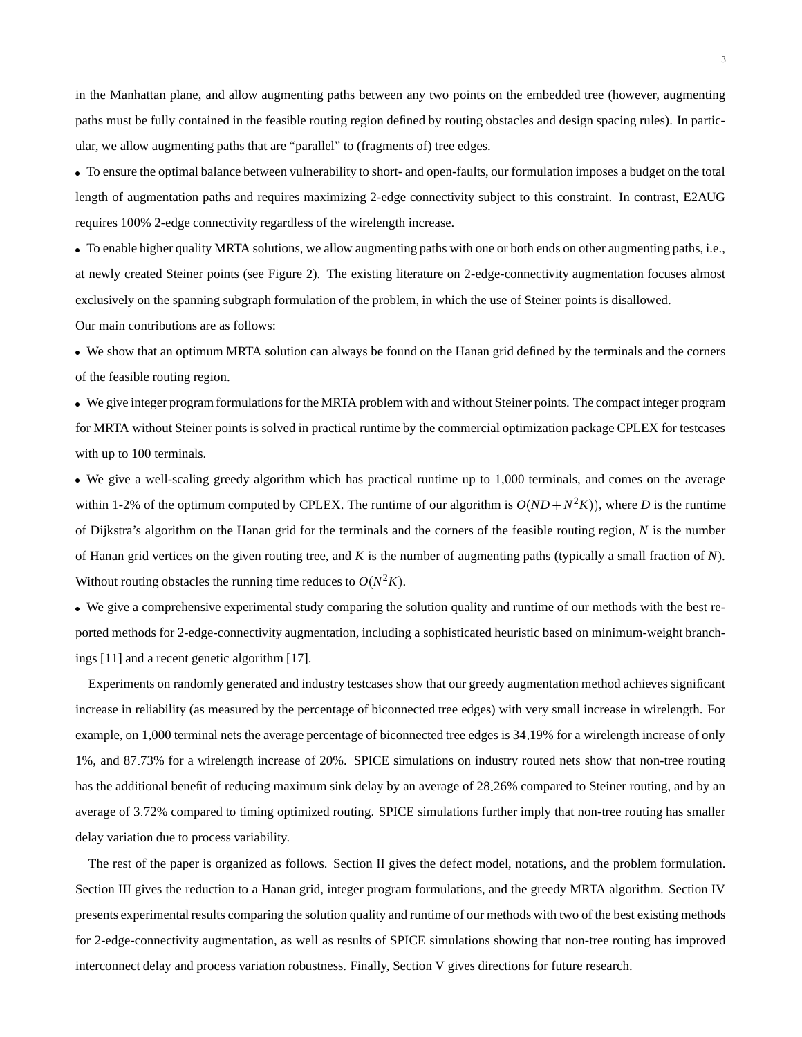in the Manhattan plane, and allow augmenting paths between any two points on the embedded tree (however, augmenting paths must be fully contained in the feasible routing region defined by routing obstacles and design spacing rules). In particular, we allow augmenting paths that are "parallel" to (fragments of) tree edges.

 To ensure the optimal balance between vulnerability to short- and open-faults, our formulation imposes a budget on the total length of augmentation paths and requires maximizing 2-edge connectivity subject to this constraint. In contrast, E2AUG requires 100% 2-edge connectivity regardless of the wirelength increase.

 To enable higher quality MRTA solutions, we allow augmenting paths with one or both ends on other augmenting paths, i.e., at newly created Steiner points (see Figure 2). The existing literature on 2-edge-connectivity augmentation focuses almost exclusively on the spanning subgraph formulation of the problem, in which the use of Steiner points is disallowed. Our main contributions are as follows:

 We show that an optimum MRTA solution can always be found on the Hanan grid defined by the terminals and the corners of the feasible routing region.

 We give integer program formulationsfor the MRTA problem with and without Steiner points. The compact integer program for MRTA without Steiner points is solved in practical runtime by the commercial optimization package CPLEX for testcases with up to 100 terminals.

 We give a well-scaling greedy algorithm which has practical runtime up to 1,000 terminals, and comes on the average within 1-2% of the optimum computed by CPLEX. The runtime of our algorithm is  $O(ND + N^2K)$ , where *D* is the runtime of Dijkstra's algorithm on the Hanan grid for the terminals and the corners of the feasible routing region, *N* is the number of Hanan grid vertices on the given routing tree, and *K* is the number of augmenting paths (typically a small fraction of *N*). Without routing obstacles the running time reduces to  $O(N^2K)$ .

 We give a comprehensive experimental study comparing the solution quality and runtime of our methods with the best reported methods for 2-edge-connectivity augmentation, including a sophisticated heuristic based on minimum-weight branchings [11] and a recent genetic algorithm [17].

Experiments on randomly generated and industry testcases show that our greedy augmentation method achieves significant increase in reliability (as measured by the percentage of biconnected tree edges) with very small increase in wirelength. For example, on 1,000 terminal nets the average percentage of biconnected tree edges is 34 19% for a wirelength increase of only 1%, and 87 73% for a wirelength increase of 20%. SPICE simulations on industry routed nets show that non-tree routing has the additional benefit of reducing maximum sink delay by an average of 28.26% compared to Steiner routing, and by an average of 3 72% compared to timing optimized routing. SPICE simulations further imply that non-tree routing has smaller delay variation due to process variability.

The rest of the paper is organized as follows. Section II gives the defect model, notations, and the problem formulation. Section III gives the reduction to a Hanan grid, integer program formulations, and the greedy MRTA algorithm. Section IV presents experimental results comparing the solution quality and runtime of our methods with two of the best existing methods for 2-edge-connectivity augmentation, as well as results of SPICE simulations showing that non-tree routing has improved interconnect delay and process variation robustness. Finally, Section V gives directions for future research.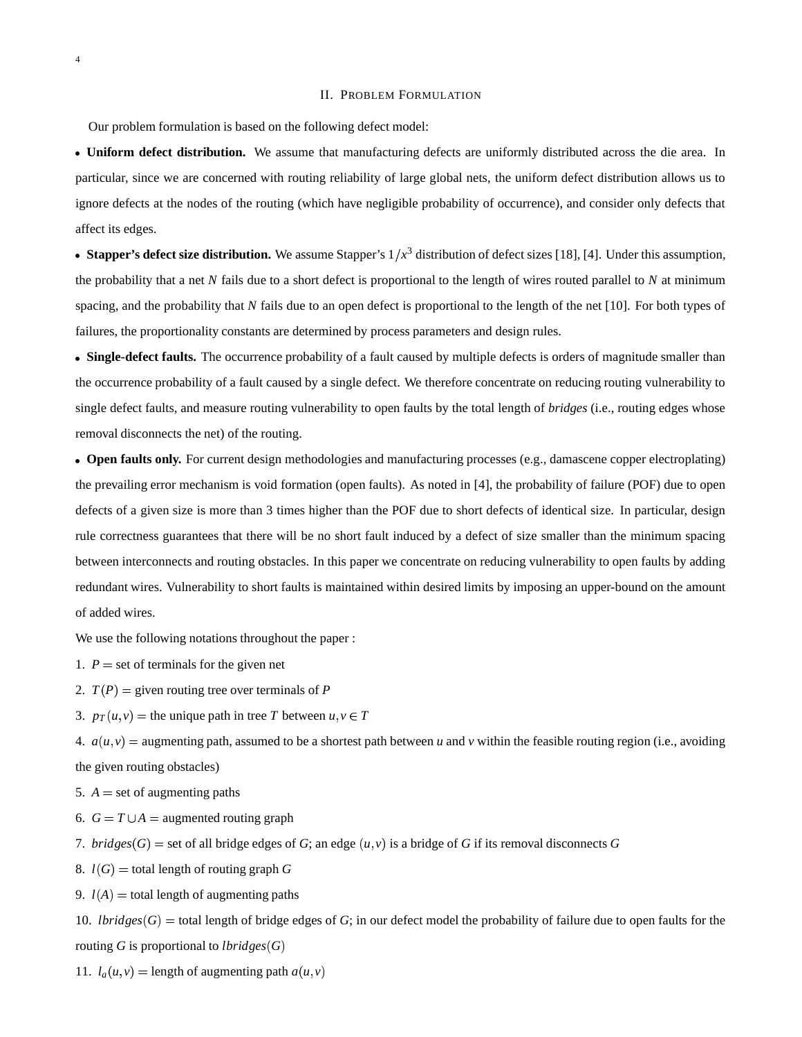#### II. PROBLEM FORMULATION

Our problem formulation is based on the following defect model:

 **Uniform defect distribution.** We assume that manufacturing defects are uniformly distributed across the die area. In particular, since we are concerned with routing reliability of large global nets, the uniform defect distribution allows us to ignore defects at the nodes of the routing (which have negligible probability of occurrence), and consider only defects that affect its edges.

• Stapper's defect size distribution. We assume Stapper's  $1/x^3$  distribution of defect sizes [18], [4]. Under this assumption, the probability that a net *N* fails due to a short defect is proportional to the length of wires routed parallel to *N* at minimum spacing, and the probability that *N* fails due to an open defect is proportional to the length of the net [10]. For both types of failures, the proportionality constants are determined by process parameters and design rules.

 **Single-defect faults.** The occurrence probability of a fault caused by multiple defects is orders of magnitude smaller than the occurrence probability of a fault caused by a single defect. We therefore concentrate on reducing routing vulnerability to single defect faults, and measure routing vulnerability to open faults by the total length of *bridges* (i.e., routing edges whose removal disconnects the net) of the routing.

 **Open faults only.** For current design methodologies and manufacturing processes (e.g., damascene copper electroplating) the prevailing error mechanism is void formation (open faults). As noted in [4], the probability of failure (POF) due to open defects of a given size is more than 3 times higher than the POF due to short defects of identical size. In particular, design rule correctness guarantees that there will be no short fault induced by a defect of size smaller than the minimum spacing between interconnects and routing obstacles. In this paper we concentrate on reducing vulnerability to open faults by adding redundant wires. Vulnerability to short faults is maintained within desired limits by imposing an upper-bound on the amount of added wires.

We use the following notations throughout the paper :

1.  $P =$  set of terminals for the given net

2.  $T(P) =$  given routing tree over terminals of *P* 

3.  $p_T(u, v)$  = the unique path in tree *T* between  $u, v \in T$ 

4.  $a(u, v)$  = augmenting path, assumed to be a shortest path between *u* and *v* within the feasible routing region (i.e., avoiding the given routing obstacles)

5.  $A =$  set of augmenting paths

- 6.  $G = T \cup A$  = augmented routing graph
- 7. *bridges*  $(G)$  = set of all bridge edges of *G*; an edge  $(u, v)$  is a bridge of *G* if its removal disconnects *G*

8.  $l(G)$  = total length of routing graph *G* 

9.  $l(A)$  = total length of augmenting paths

10. *lbridges*  $(G)$  = total length of bridge edges of *G*; in our defect model the probability of failure due to open faults for the routing *G* is proportional to *lbridges*  $(G)$ 

11.  $l_a(u, v) =$  length of augmenting path  $a(u, v)$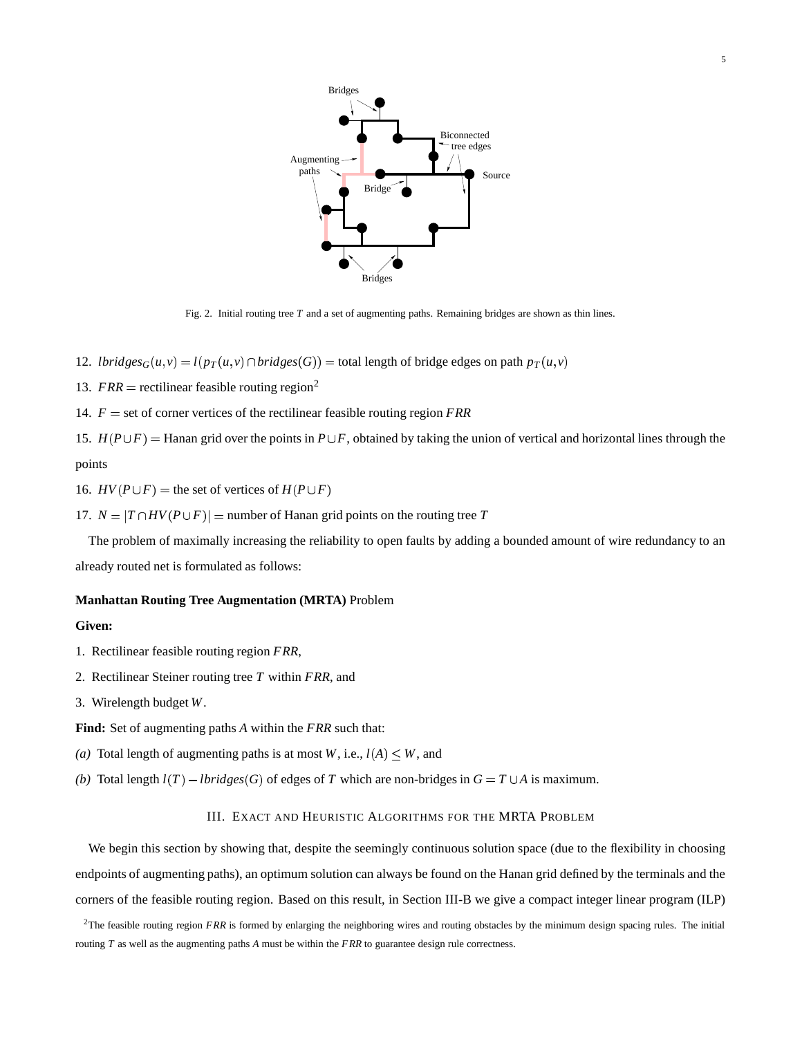

Fig. 2. Initial routing tree *T* and a set of augmenting paths. Remaining bridges are shown as thin lines.

- 12. *lbridges* $_G(u, v) = l(p_T(u, v) \cap bridge(s(G)) =$  total length of bridge edges on path  $p_T(u, v)$
- 13.  $FRR$  = rectilinear feasible routing region<sup>2</sup>
- 14.  $F =$  set of corner vertices of the rectilinear feasible routing region  $FRR$

15.  $H(P \cup F)$  = Hanan grid over the points in  $P \cup F$ , obtained by taking the union of vertical and horizontal lines through the points

16.  $HV(P \cup F)$  = the set of vertices of  $H(P \cup F)$ 

17.  $N = |T \cap HV(P \cup F)|$  = number of Hanan grid points on the routing tree *T* 

The problem of maximally increasing the reliability to open faults by adding a bounded amount of wire redundancy to an already routed net is formulated as follows:

#### **Manhattan Routing Tree Augmentation (MRTA)** Problem

## **Given:**

- 1. Rectilinear feasible routing region *FRR*,
- 2. Rectilinear Steiner routing tree *T* within *FRR*, and
- 3. Wirelength budget *W*.

**Find:** Set of augmenting paths *A* within the *FRR* such that:

- (*a*) Total length of augmenting paths is at most *W*, i.e.,  $l(A) \leq W$ , and
- *(b)* Total length  $l(T) lbridges(G)$  of edges of *T* which are non-bridges in  $G = T \cup A$  is maximum.

## III. EXACT AND HEURISTIC ALGORITHMS FOR THE MRTA PROBLEM

We begin this section by showing that, despite the seemingly continuous solution space (due to the flexibility in choosing endpoints of augmenting paths), an optimum solution can always be found on the Hanan grid defined by the terminals and the corners of the feasible routing region. Based on this result, in Section III-B we give a compact integer linear program (ILP)

<sup>&</sup>lt;sup>2</sup>The feasible routing region *FRR* is formed by enlarging the neighboring wires and routing obstacles by the minimum design spacing rules. The initial routing *T* as well as the augmenting paths *A* must be within the *FRR* to guarantee design rule correctness.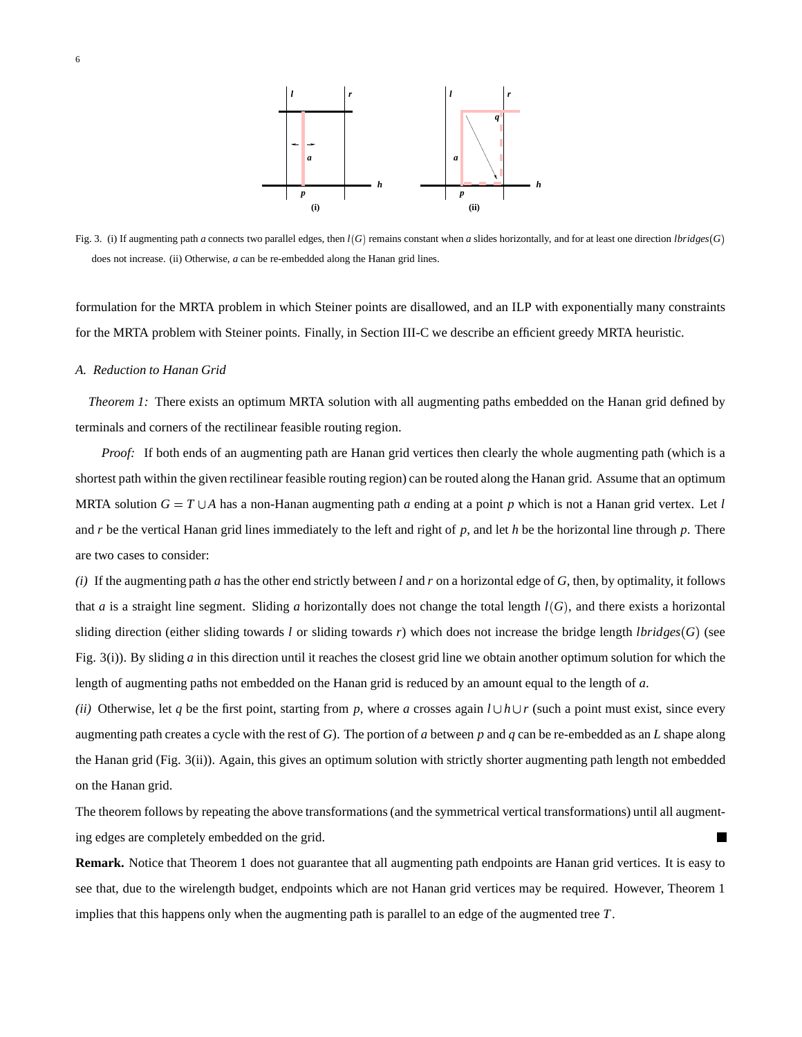

Fig. 3. (i) If augmenting path *a* connects two parallel edges, then  $l(G)$  remains constant when *a* slides horizontally, and for at least one direction *lbridges*  $(G)$ does not increase. (ii) Otherwise, *a* can be re-embedded along the Hanan grid lines.

formulation for the MRTA problem in which Steiner points are disallowed, and an ILP with exponentially many constraints for the MRTA problem with Steiner points. Finally, in Section III-C we describe an efficient greedy MRTA heuristic.

## *A. Reduction to Hanan Grid*

*Theorem 1:* There exists an optimum MRTA solution with all augmenting paths embedded on the Hanan grid defined by terminals and corners of the rectilinear feasible routing region.

*Proof:* If both ends of an augmenting path are Hanan grid vertices then clearly the whole augmenting path (which is a shortest path within the given rectilinear feasible routing region) can be routed along the Hanan grid. Assume that an optimum MRTA solution  $G = T \cup A$  has a non-Hanan augmenting path *a* ending at a point *p* which is not a Hanan grid vertex. Let *l* and *r* be the vertical Hanan grid lines immediately to the left and right of *p*, and let *h* be the horizontal line through *p*. There are two cases to consider:

*(i)* If the augmenting path *a* has the other end strictly between *l* and *r* on a horizontal edge of *G*, then, by optimality, it follows that *a* is a straight line segment. Sliding *a* horizontally does not change the total length  $l(G)$ , and there exists a horizontal sliding direction (either sliding towards *l* or sliding towards *r*) which does not increase the bridge length *lbridges* (*G*) (see Fig. 3(i)). By sliding *a* in this direction until it reaches the closest grid line we obtain another optimum solution for which the length of augmenting paths not embedded on the Hanan grid is reduced by an amount equal to the length of *a*.

*(ii)* Otherwise, let *q* be the first point, starting from *p*, where *a* crosses again  $l \cup h \cup r$  (such a point must exist, since every augmenting path creates a cycle with the rest of *G*). The portion of *a* between *p* and *q* can be re-embedded as an *L* shape along the Hanan grid (Fig. 3(ii)). Again, this gives an optimum solution with strictly shorter augmenting path length not embedded on the Hanan grid.

The theorem follows by repeating the above transformations (and the symmetrical vertical transformations) until all augmenting edges are completely embedded on the grid.

**Remark.** Notice that Theorem 1 does not guarantee that all augmenting path endpoints are Hanan grid vertices. It is easy to see that, due to the wirelength budget, endpoints which are not Hanan grid vertices may be required. However, Theorem 1 implies that this happens only when the augmenting path is parallel to an edge of the augmented tree *T*.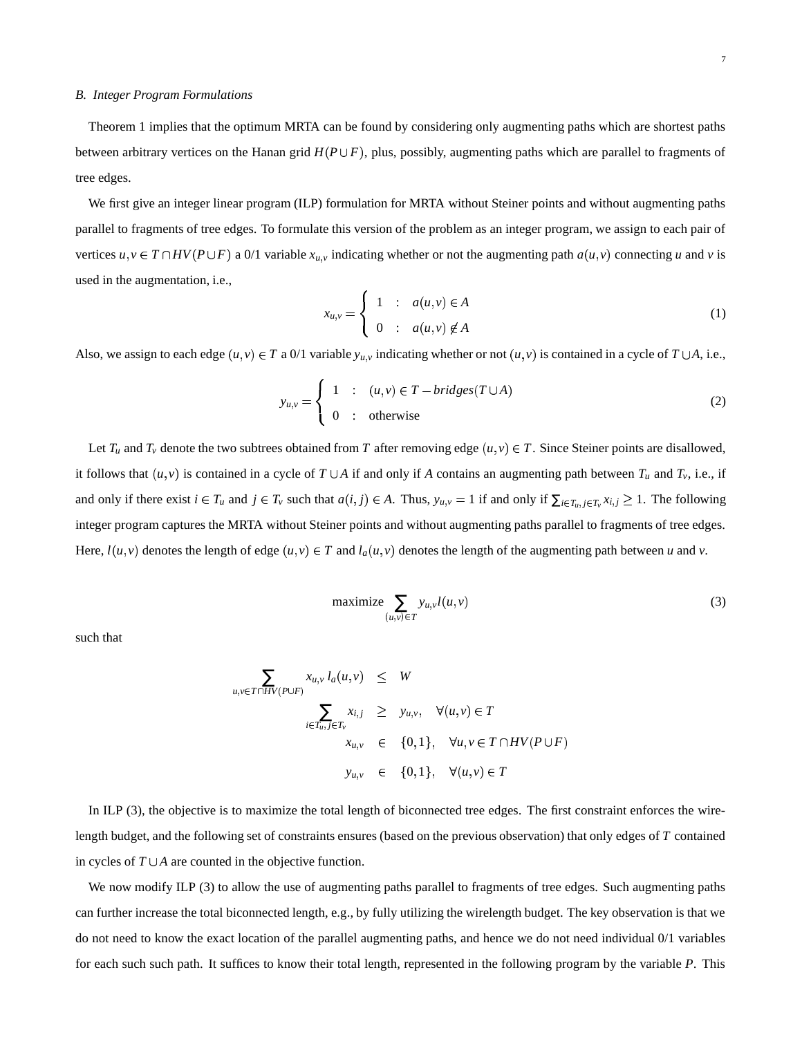#### *B. Integer Program Formulations*

Theorem 1 implies that the optimum MRTA can be found by considering only augmenting paths which are shortest paths between arbitrary vertices on the Hanan grid  $H(P \cup F)$ , plus, possibly, augmenting paths which are parallel to fragments of tree edges.

We first give an integer linear program (ILP) formulation for MRTA without Steiner points and without augmenting paths parallel to fragments of tree edges. To formulate this version of the problem as an integer program, we assign to each pair of vertices  $u, v \in T \cap HV(P \cup F)$  a 0/1 variable  $x_{u,v}$  indicating whether or not the augmenting path  $a(u, v)$  connecting u and v is used in the augmentation, i.e.,

$$
x_{u,v} = \begin{cases} 1 & \text{:} & a(u,v) \in A \\ 0 & \text{:} & a(u,v) \notin A \end{cases}
$$
 (1)

Also, we assign to each edge  $(u, v) \in T$  a 0/1 variable  $y_{u,v}$  indicating whether or not  $(u, v)$  is contained in a cycle of  $T \cup A$ , i.e.,

$$
y_{u,v} = \begin{cases} 1 & : (u,v) \in T - bridges(T \cup A) \\ 0 & : \text{otherwise} \end{cases}
$$
 (2)

Let  $T_u$  and  $T_v$  denote the two subtrees obtained from  $T$  after removing edge  $(u, v) \in T$ . Since Steiner points are disallowed, it follows that  $(u, v)$  is contained in a cycle of  $T \cup A$  if and only if A contains an augmenting path between  $T_u$  and  $T_v$ , i.e., if and only if there exist  $i \in T_u$  and  $j \in T_v$  such that  $a(i, j) \in A$ . Thus,  $y_{u,v} = 1$  if and only if  $\sum_{i \in T_u, j \in T_v} x_{i,j} \ge 1$ . The following integer program captures the MRTA without Steiner points and without augmenting paths parallel to fragments of tree edges. Here,  $l(u, v)$  denotes the length of edge  $(u, v) \in T$  and  $l_a(u, v)$  denotes the length of the augmenting path between *u* and *v*.

$$
\text{maximize} \sum_{(u,v)\in T} y_{u,v} l(u,v) \tag{3}
$$

such that

$$
\sum_{u,v \in T \cap HV(P \cup F)} x_{u,v} l_a(u,v) \leq W
$$
\n
$$
\sum_{i \in T_u, j \in T_v} x_{i,j} \geq y_{u,v}, \quad \forall (u,v) \in T
$$
\n
$$
x_{u,v} \in \{0,1\}, \quad \forall u,v \in T \cap HV(P \cup F)
$$
\n
$$
y_{u,v} \in \{0,1\}, \quad \forall (u,v) \in T
$$

In ILP (3), the objective is to maximize the total length of biconnected tree edges. The first constraint enforces the wirelength budget, and the following set of constraints ensures (based on the previous observation) that only edges of *T* contained in cycles of  $T \cup A$  are counted in the objective function.

We now modify ILP (3) to allow the use of augmenting paths parallel to fragments of tree edges. Such augmenting paths can further increase the total biconnected length, e.g., by fully utilizing the wirelength budget. The key observation is that we do not need to know the exact location of the parallel augmenting paths, and hence we do not need individual 0/1 variables for each such such path. It suffices to know their total length, represented in the following program by the variable *P*. This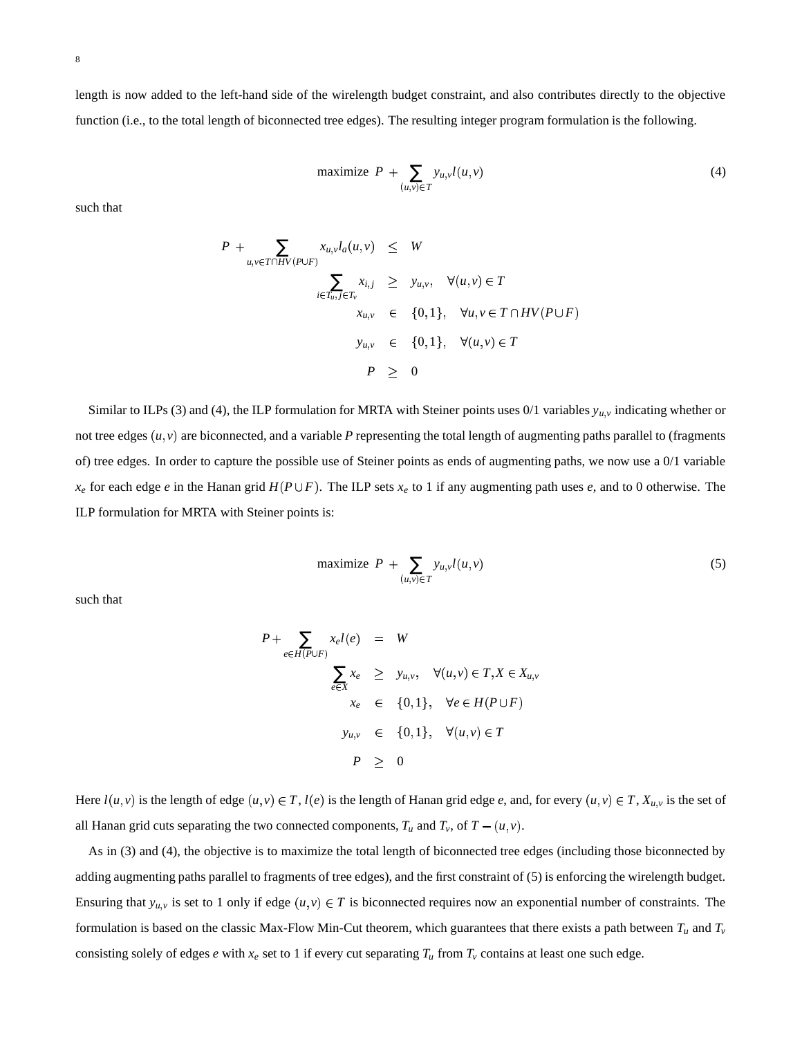length is now added to the left-hand side of the wirelength budget constraint, and also contributes directly to the objective function (i.e., to the total length of biconnected tree edges). The resulting integer program formulation is the following.

maximize 
$$
P + \sum_{(u,v)\in T} y_{u,v} l(u,v)
$$
 (4)

such that

$$
P + \sum_{u,v \in T \cap HV(P \cup F)} x_{u,v} l_a(u,v) \leq W
$$
  

$$
\sum_{i \in T_u, j \in T_v} x_{i,j} \geq y_{u,v}, \quad \forall (u,v) \in T
$$
  

$$
x_{u,v} \in \{0,1\}, \quad \forall u,v \in T \cap HV(P \cup F)
$$
  

$$
y_{u,v} \in \{0,1\}, \quad \forall (u,v) \in T
$$
  

$$
P \geq 0
$$

Similar to ILPs (3) and (4), the ILP formulation for MRTA with Steiner points uses  $0/1$  variables  $y_{u,v}$  indicating whether or not tree edges  $(u, v)$  are biconnected, and a variable  $P$  representing the total length of augmenting paths parallel to (fragments of) tree edges. In order to capture the possible use of Steiner points as ends of augmenting paths, we now use a 0/1 variable  $x_e$  for each edge *e* in the Hanan grid  $H(P \cup F)$ . The ILP sets  $x_e$  to 1 if any augmenting path uses *e*, and to 0 otherwise. The ILP formulation for MRTA with Steiner points is:

$$
\text{maximize } P + \sum_{(u,v)\in T} y_{u,v} l(u,v) \tag{5}
$$

such that

$$
P + \sum_{e \in H(P \cup F)} x_e l(e) = W
$$
  

$$
\sum_{e \in X} x_e \geq y_{u,v}, \quad \forall (u, v) \in T, X \in X_{u,v}
$$
  

$$
x_e \in \{0, 1\}, \quad \forall e \in H(P \cup F)
$$
  

$$
y_{u,v} \in \{0, 1\}, \quad \forall (u, v) \in T
$$
  

$$
P \geq 0
$$

Here  $l(u, v)$  is the length of edge  $(u, v) \in T$ ,  $l(e)$  is the length of Hanan grid edge e, and, for every  $(u, v) \in T$ ,  $X_{u,v}$  is the set of all Hanan grid cuts separating the two connected components,  $T_u$  and  $T_v$ , of  $T - (u, v)$ .

As in (3) and (4), the objective is to maximize the total length of biconnected tree edges (including those biconnected by adding augmenting paths parallel to fragments of tree edges), and the first constraint of (5) is enforcing the wirelength budget. Ensuring that  $y_{u,v}$  is set to 1 only if edge  $(u,v) \in T$  is biconnected requires now an exponential number of constraints. The formulation is based on the classic Max-Flow Min-Cut theorem, which guarantees that there exists a path between  $T_u$  and  $T_v$ consisting solely of edges *e* with  $x_e$  set to 1 if every cut separating  $T_u$  from  $T_v$  contains at least one such edge.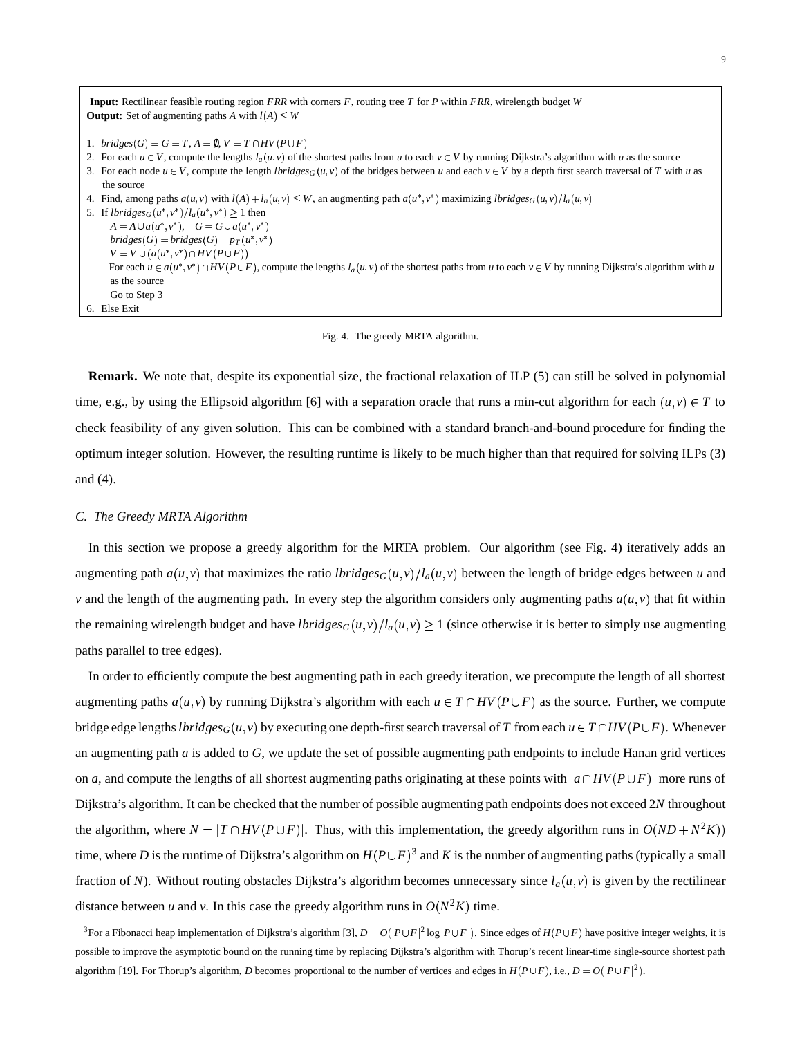| <b>Input:</b> Rectilinear feasible routing region $FRR$ with corners $F$ , routing tree $T$ for $P$ within $FRR$ , wirelength budget $W$                               |
|------------------------------------------------------------------------------------------------------------------------------------------------------------------------|
| <b>Output:</b> Set of augmenting paths A with $l(A) \leq W$                                                                                                            |
|                                                                                                                                                                        |
| 1. bridges $(G) = G = T$ , $A = \emptyset$ , $V = T \cap HV(P \cup F)$                                                                                                 |
| 2. For each $u \in V$ , compute the lengths $l_a(u, v)$ of the shortest paths from u to each $v \in V$ by running Dijkstra's algorithm with u as the source            |
| 3. For each node $u \in V$ , compute the length $lbridge_{G}(u, v)$ of the bridges between u and each $v \in V$ by a depth first search traversal of T with u as       |
| the source                                                                                                                                                             |
| 4. Find, among paths $a(u, v)$ with $l(A) + l_a(u, v) \leq W$ , an augmenting path $a(u^*, v^*)$ maximizing $lbridge_{\mathcal{G}}(u, v)/l_a(u, v)$                    |
| 5. If $lbridges_G(u^*, v^*)/l_a(u^*, v^*) \ge 1$ then                                                                                                                  |
| $A = A \cup a(u^*, v^*), \quad G = G \cup a(u^*, v^*)$                                                                                                                 |
| $bridges(G) = bridges(G) - p_T(u^*, v^*)$                                                                                                                              |
| $V = V \cup (a(u^*, v^*) \cap HV(P \cup F))$                                                                                                                           |
| For each $u \in a(u^*, v^*) \cap HV(P \cup F)$ , compute the lengths $l_a(u, v)$ of the shortest paths from u to each $v \in V$ by running Dijkstra's algorithm with u |
| as the source                                                                                                                                                          |
| Go to Step 3                                                                                                                                                           |
| 6. Else Exit                                                                                                                                                           |

## Fig. 4. The greedy MRTA algorithm.

**Remark.** We note that, despite its exponential size, the fractional relaxation of ILP (5) can still be solved in polynomial time, e.g., by using the Ellipsoid algorithm [6] with a separation oracle that runs a min-cut algorithm for each  $(u, v) \in T$  to check feasibility of any given solution. This can be combined with a standard branch-and-bound procedure for finding the optimum integer solution. However, the resulting runtime is likely to be much higher than that required for solving ILPs (3) and (4).

#### *C. The Greedy MRTA Algorithm*

In this section we propose a greedy algorithm for the MRTA problem. Our algorithm (see Fig. 4) iteratively adds an augmenting path  $a(u, v)$  that maximizes the ratio *lbridges* $_G(u, v)/l_a(u, v)$  between the length of bridge edges between *u* and *v* and the length of the augmenting path. In every step the algorithm considers only augmenting paths  $a(u, v)$  that fit within the remaining wirelength budget and have *lbridges* $_G(u, v)/l_a(u, v) \ge 1$  (since otherwise it is better to simply use augmenting paths parallel to tree edges).

In order to efficiently compute the best augmenting path in each greedy iteration, we precompute the length of all shortest augmenting paths  $a(u, v)$  by running Dijkstra's algorithm with each  $u \in T \cap HV(P \cup F)$  as the source. Further, we compute bridge edge lengths  $lbridge_{G}(u, v)$  by executing one depth-first search traversal of  $T$  from each  $u \in T \cap HV(P \cup F)$ . Whenever an augmenting path *a* is added to *G*, we update the set of possible augmenting path endpoints to include Hanan grid vertices on *a*, and compute the lengths of all shortest augmenting paths originating at these points with  $|a \cap HV(P \cup F)|$  more runs of Dijkstra's algorithm. It can be checked that the number of possible augmenting path endpoints does not exceed 2*N* throughout the algorithm, where  $N = |T \cap HV(P \cup F)|$ . Thus, with this implementation, the greedy algorithm runs in  $O(ND + N^2K)$ time, where *D* is the runtime of Dijkstra's algorithm on  $H(P \cup F)^3$  and *K* is the number of augmenting paths (typically a small fraction of *N*). Without routing obstacles Dijkstra's algorithm becomes unnecessary since  $l_a(u, v)$  is given by the rectilinear distance between *u* and *v*. In this case the greedy algorithm runs in  $O(N^2K)$  time.

<sup>3</sup>For a Fibonacci heap implementation of Dijkstra's algorithm [3],  $D = O(|P \cup F|^2 \log |P \cup F|)$ . Since edges of  $H(P \cup F)$  have positive integer weights, it is possible to improve the asymptotic bound on the running time by replacing Dijkstra's algorithm with Thorup's recent linear-time single-source shortest path algorithm [19]. For Thorup's algorithm, *D* becomes proportional to the number of vertices and edges in  $H(P \cup F)$ , i.e.,  $D = O(|P \cup F|^2)$ .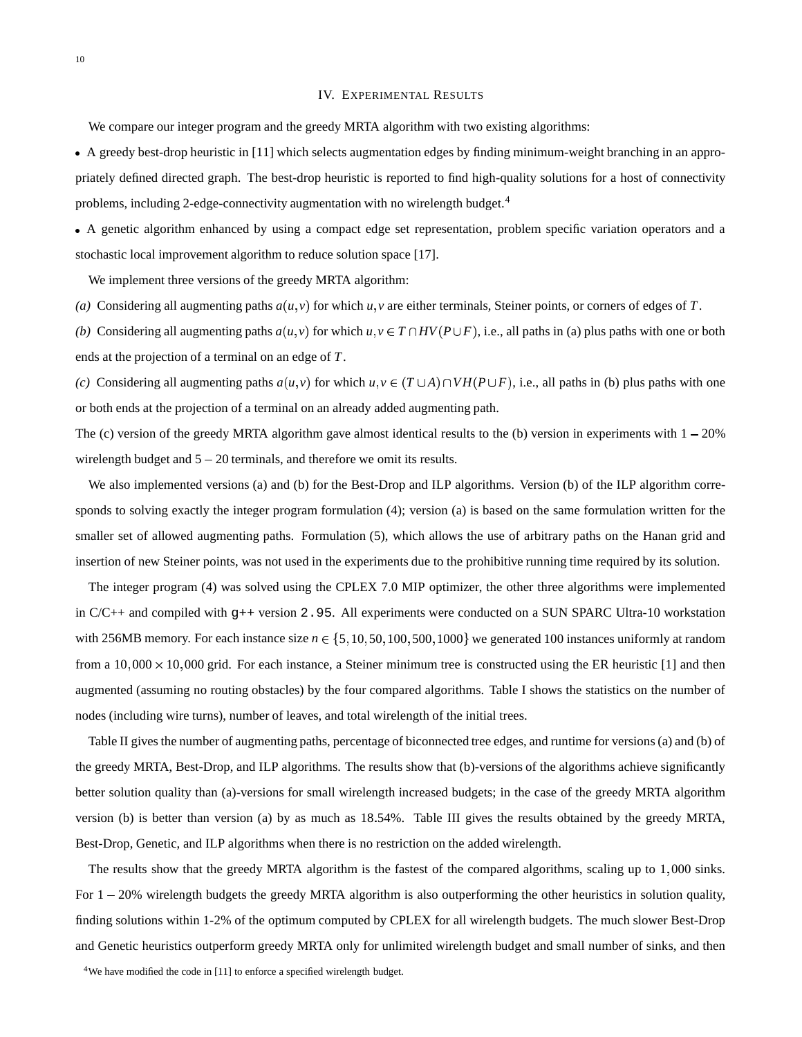#### IV. EXPERIMENTAL RESULTS

We compare our integer program and the greedy MRTA algorithm with two existing algorithms:

 A greedy best-drop heuristic in [11] which selects augmentation edges by finding minimum-weight branching in an appropriately defined directed graph. The best-drop heuristic is reported to find high-quality solutions for a host of connectivity problems, including 2-edge-connectivity augmentation with no wirelength budget.<sup>4</sup>

 A genetic algorithm enhanced by using a compact edge set representation, problem specific variation operators and a stochastic local improvement algorithm to reduce solution space [17].

We implement three versions of the greedy MRTA algorithm:

(a) Considering all augmenting paths  $a(u, v)$  for which  $u, v$  are either terminals, Steiner points, or corners of edges of *T*.

*(b)* Considering all augmenting paths  $a(u, v)$  for which  $u, v \in T \cap HV(P \cup F)$ , i.e., all paths in (a) plus paths with one or both ends at the projection of a terminal on an edge of *T*.

(c) Considering all augmenting paths  $a(u, v)$  for which  $u, v \in (T \cup A) \cap VH(P \cup F)$ , i.e., all paths in (b) plus paths with one or both ends at the projection of a terminal on an already added augmenting path.

The (c) version of the greedy MRTA algorithm gave almost identical results to the (b) version in experiments with  $1 - 20\%$ wirelength budget and  $5 - 20$  terminals, and therefore we omit its results.

We also implemented versions (a) and (b) for the Best-Drop and ILP algorithms. Version (b) of the ILP algorithm corresponds to solving exactly the integer program formulation (4); version (a) is based on the same formulation written for the smaller set of allowed augmenting paths. Formulation (5), which allows the use of arbitrary paths on the Hanan grid and insertion of new Steiner points, was not used in the experiments due to the prohibitive running time required by its solution.

The integer program (4) was solved using the CPLEX 7.0 MIP optimizer, the other three algorithms were implemented in C/C++ and compiled with g++ version 2.95. All experiments were conducted on a SUN SPARC Ultra-10 workstation with 256MB memory. For each instance size  $n \in \{5, 10, 50, 100, 500, 1000\}$  we generated 100 instances uniformly at random from a  $10,000 \times 10,000$  grid. For each instance, a Steiner minimum tree is constructed using the ER heuristic [1] and then augmented (assuming no routing obstacles) by the four compared algorithms. Table I shows the statistics on the number of nodes (including wire turns), number of leaves, and total wirelength of the initial trees.

Table II gives the number of augmenting paths, percentage of biconnected tree edges, and runtime for versions (a) and (b) of the greedy MRTA, Best-Drop, and ILP algorithms. The results show that (b)-versions of the algorithms achieve significantly better solution quality than (a)-versions for small wirelength increased budgets; in the case of the greedy MRTA algorithm version (b) is better than version (a) by as much as 18 54%. Table III gives the results obtained by the greedy MRTA, Best-Drop, Genetic, and ILP algorithms when there is no restriction on the added wirelength.

The results show that the greedy MRTA algorithm is the fastest of the compared algorithms, scaling up to 1,000 sinks. For  $1 - 20\%$  wirelength budgets the greedy MRTA algorithm is also outperforming the other heuristics in solution quality, finding solutions within 1-2% of the optimum computed by CPLEX for all wirelength budgets. The much slower Best-Drop and Genetic heuristics outperform greedy MRTA only for unlimited wirelength budget and small number of sinks, and then

<sup>4</sup>We have modified the code in [11] to enforce a specified wirelength budget.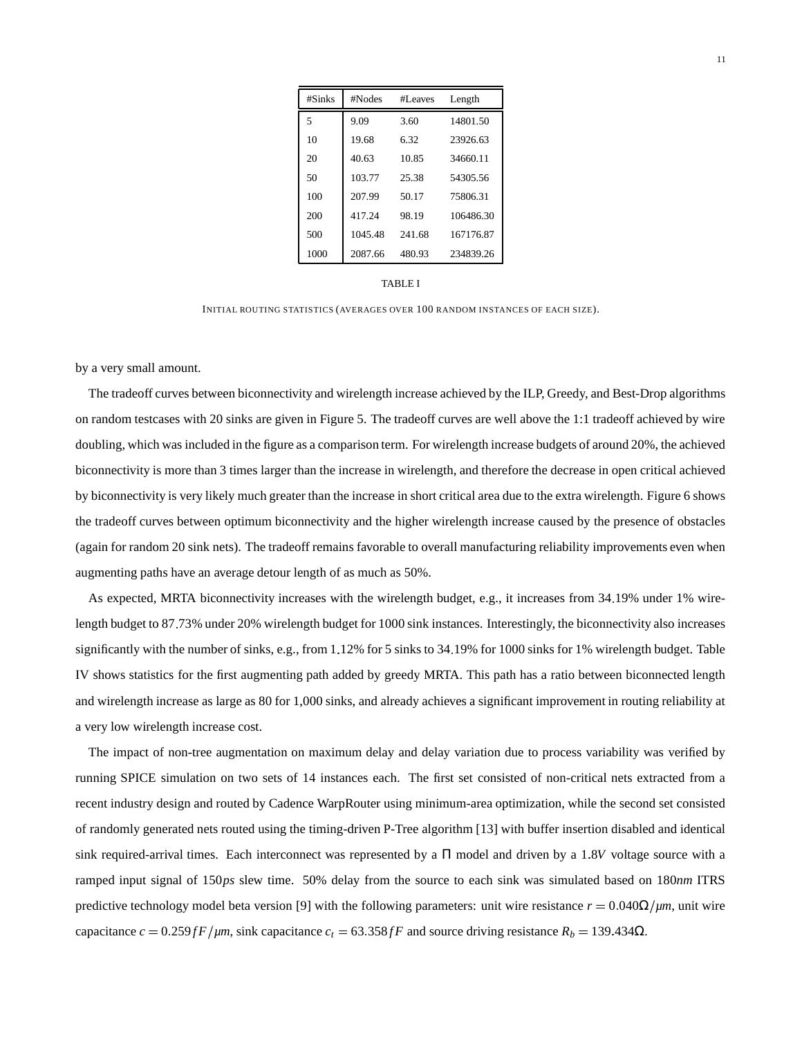| #Sinks | #Nodes  | #Leaves | Length    |
|--------|---------|---------|-----------|
| 5      | 9.09    | 3.60    | 14801.50  |
| 10     | 19.68   | 6.32    | 23926.63  |
| 20     | 40.63   | 10.85   | 34660.11  |
| 50     | 103.77  | 25.38   | 54305.56  |
| 100    | 207.99  | 50.17   | 75806.31  |
| 200    | 417.24  | 98.19   | 106486.30 |
| 500    | 1045.48 | 241.68  | 167176.87 |
| 1000   | 2087.66 | 480.93  | 234839.26 |

| TABLE | I |
|-------|---|
|-------|---|

INITIAL ROUTING STATISTICS (AVERAGES OVER 100 RANDOM INSTANCES OF EACH SIZE).

by a very small amount.

The tradeoff curves between biconnectivity and wirelength increase achieved by the ILP, Greedy, and Best-Drop algorithms on random testcases with 20 sinks are given in Figure 5. The tradeoff curves are well above the 1:1 tradeoff achieved by wire doubling, which was included in the figure as a comparison term. For wirelength increase budgets of around 20%, the achieved biconnectivity is more than 3 times larger than the increase in wirelength, and therefore the decrease in open critical achieved by biconnectivity is very likely much greater than the increase in short critical area due to the extra wirelength. Figure 6 shows the tradeoff curves between optimum biconnectivity and the higher wirelength increase caused by the presence of obstacles (again for random 20 sink nets). The tradeoff remains favorable to overall manufacturing reliability improvements even when augmenting paths have an average detour length of as much as 50%.

As expected, MRTA biconnectivity increases with the wirelength budget, e.g., it increases from 34 19% under 1% wirelength budget to 87 73% under 20% wirelength budget for 1000 sink instances. Interestingly, the biconnectivity also increases significantly with the number of sinks, e.g., from 1.12% for 5 sinks to 34.19% for 1000 sinks for 1% wirelength budget. Table IV shows statistics for the first augmenting path added by greedy MRTA. This path has a ratio between biconnected length and wirelength increase as large as 80 for 1,000 sinks, and already achieves a significant improvement in routing reliability at a very low wirelength increase cost.

The impact of non-tree augmentation on maximum delay and delay variation due to process variability was verified by running SPICE simulation on two sets of 14 instances each. The first set consisted of non-critical nets extracted from a recent industry design and routed by Cadence WarpRouter using minimum-area optimization, while the second set consisted of randomly generated nets routed using the timing-driven P-Tree algorithm [13] with buffer insertion disabled and identical sink required-arrival times. Each interconnect was represented by a  $\Pi$  model and driven by a 1.8V voltage source with a ramped input signal of 150*ps* slew time. 50% delay from the source to each sink was simulated based on 180*nm* ITRS predictive technology model beta version [9] with the following parameters: unit wire resistance  $r = 0.040\Omega/\mu m$ , unit wire capacitance  $c = 0.259$  *fF* /*µm*, sink capacitance  $c_t = 63.358$  *fF* and source driving resistance  $R_b = 139.434 \Omega$ .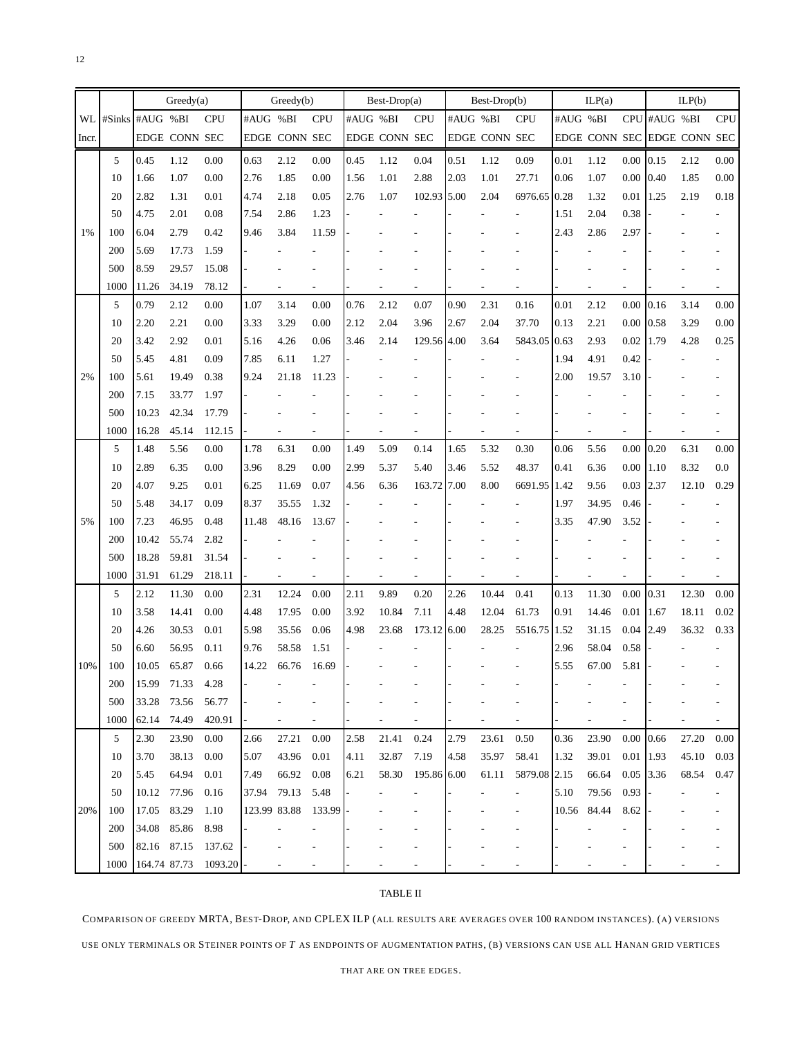|       |                 |              | Greedy(a)     |            |              | Greedy(b)     |                          |          | $Best-Drop(a)$       |                          |          | Best-Drop(b)         |              |             | ILP(a) |                          |              | ILP(b)                      |            |
|-------|-----------------|--------------|---------------|------------|--------------|---------------|--------------------------|----------|----------------------|--------------------------|----------|----------------------|--------------|-------------|--------|--------------------------|--------------|-----------------------------|------------|
| WL    | #Sinks #AUG %BI |              |               | <b>CPU</b> | #AUG %BI     |               | <b>CPU</b>               | #AUG %BI |                      | <b>CPU</b>               | #AUG %BI |                      | <b>CPU</b>   | #AUG %BI    |        |                          | CPU #AUG %BI |                             | <b>CPU</b> |
| Incr. |                 |              | EDGE CONN SEC |            |              | EDGE CONN SEC |                          |          | <b>EDGE CONN SEC</b> |                          |          | <b>EDGE CONN SEC</b> |              |             |        |                          |              | EDGE CONN SEC EDGE CONN SEC |            |
|       | 5               | 0.45         | 1.12          | 0.00       | 0.63         | 2.12          | 0.00                     | 0.45     | 1.12                 | 0.04                     | 0.51     | 1.12                 | 0.09         | 0.01        | 1.12   | 0.00                     | 0.15         | 2.12                        | $0.00\,$   |
|       | 10              | 1.66         | 1.07          | 0.00       | 2.76         | 1.85          | 0.00                     | 1.56     | 1.01                 | 2.88                     | 2.03     | 1.01                 | 27.71        | 0.06        | 1.07   | 0.00                     | 0.40         | 1.85                        | $0.00\,$   |
|       | 20              | 2.82         | 1.31          | 0.01       | 4.74         | 2.18          | 0.05                     | 2.76     | 1.07                 | 102.93 5.00              |          | 2.04                 | 6976.65 0.28 |             | 1.32   | 0.01                     | 1.25         | 2.19                        | $0.18\,$   |
|       | 50              | 4.75         | 2.01          | 0.08       | 7.54         | 2.86          | 1.23                     |          |                      |                          |          |                      |              | 1.51        | 2.04   | 0.38                     |              |                             |            |
| 1%    | 100             | 6.04         | 2.79          | 0.42       | 9.46         | 3.84          | 11.59                    |          |                      |                          |          |                      |              | 2.43        | 2.86   | 2.97                     |              |                             |            |
|       | 200             | 5.69         | 17.73         | 1.59       |              |               |                          |          |                      |                          |          |                      |              |             |        |                          |              |                             |            |
|       | 500             | 8.59         | 29.57         | 15.08      |              |               |                          |          |                      |                          |          |                      |              |             |        |                          |              |                             |            |
|       | 1000            | 11.26        | 34.19         | 78.12      |              |               |                          |          |                      |                          |          |                      |              |             |        |                          |              |                             |            |
|       | 5               | 0.79         | 2.12          | 0.00       | 1.07         | 3.14          | 0.00                     | 0.76     | 2.12                 | 0.07                     | 0.90     | 2.31                 | 0.16         | 0.01        | 2.12   | 0.00                     | 0.16         | 3.14                        | $0.00\,$   |
|       | 10              | 2.20         | 2.21          | 0.00       | 3.33         | 3.29          | 0.00                     | 2.12     | 2.04                 | 3.96                     | 2.67     | 2.04                 | 37.70        | 0.13        | 2.21   | 0.00                     | 0.58         | 3.29                        | $0.00\,$   |
|       | 20              | 3.42         | 2.92          | 0.01       | 5.16         | 4.26          | 0.06                     | 3.46     | 2.14                 | 129.56 4.00              |          | 3.64                 | 5843.05 0.63 |             | 2.93   | 0.02                     | 1.79         | 4.28                        | 0.25       |
|       | 50              | 5.45         | 4.81          | 0.09       | 7.85         | 6.11          | 1.27                     |          |                      |                          |          |                      |              | 1.94        | 4.91   | 0.42                     |              |                             |            |
| 2%    | 100             | 5.61         | 19.49         | 0.38       | 9.24         | 21.18         | 11.23                    |          |                      |                          |          |                      |              | 2.00        | 19.57  | 3.10                     |              |                             |            |
|       | 200             | 7.15         | 33.77         | 1.97       |              |               |                          |          |                      |                          |          |                      |              |             |        |                          |              |                             |            |
|       | 500             | 10.23        | 42.34         | 17.79      |              |               |                          |          |                      |                          |          |                      |              |             |        |                          |              |                             |            |
|       | 1000            | 16.28        | 45.14         | 112.15     |              |               |                          |          |                      |                          |          |                      |              |             |        |                          |              |                             |            |
|       | 5               | 1.48         | 5.56          | 0.00       | 1.78         | 6.31          | 0.00                     | 1.49     | 5.09                 | 0.14                     | 1.65     | 5.32                 | 0.30         | 0.06        | 5.56   | 0.00                     | 0.20         | 6.31                        | $0.00\,$   |
|       | 10              | 2.89         | 6.35          | 0.00       | 3.96         | 8.29          | 0.00                     | 2.99     | 5.37                 | 5.40                     | 3.46     | 5.52                 | 48.37        | 0.41        | 6.36   | 0.00                     | 1.10         | 8.32                        | 0.0        |
|       | 20              | 4.07         | 9.25          | 0.01       | 6.25         | 11.69         | 0.07                     | 4.56     | 6.36                 | 163.72 7.00              |          | 8.00                 | 6691.95 1.42 |             | 9.56   | 0.03                     | 2.37         | 12.10                       | 0.29       |
|       | 50              | 5.48         | 34.17         | 0.09       | 8.37         | 35.55         | 1.32                     |          |                      |                          |          |                      |              | 1.97        | 34.95  | 0.46                     |              |                             |            |
| 5%    | 100             | 7.23         | 46.95         | 0.48       | 11.48        | 48.16         | 13.67                    |          |                      |                          |          |                      |              | 3.35        | 47.90  | 3.52                     |              |                             |            |
|       | 200             | 10.42        | 55.74         | 2.82       |              |               |                          |          |                      |                          |          |                      |              |             |        |                          |              |                             |            |
|       | 500             | 18.28        | 59.81         | 31.54      |              |               |                          |          |                      |                          |          |                      |              |             |        |                          |              |                             |            |
|       | 1000            | 31.91        | 61.29         | 218.11     |              |               |                          |          |                      |                          |          |                      |              |             |        |                          |              |                             |            |
|       | 5               | 2.12         | 11.30         | 0.00       | 2.31         | 12.24         | 0.00                     | 2.11     | 9.89                 | 0.20                     | 2.26     | 10.44                | 0.41         | 0.13        | 11.30  | 0.00                     | 0.31         | 12.30                       | 0.00       |
|       | 10              | 3.58         | 14.41         | 0.00       | 4.48         | 17.95         | 0.00                     | 3.92     | 10.84                | 7.11                     | 4.48     | 12.04                | 61.73        | 0.91        | 14.46  | 0.01                     | 1.67         | 18.11                       | 0.02       |
|       | 20              | 4.26         | 30.53         | 0.01       | 5.98         | 35.56         | 0.06                     | 4.98     | 23.68                | 173.12 6.00              |          | 28.25                | 5516.75 1.52 |             | 31.15  | 0.04                     | 2.49         | 36.32                       | 0.33       |
|       | 50              | 6.60         | 56.95         | 0.11       | 9.76         | 58.58         | 1.51                     |          |                      |                          |          |                      |              | 2.96        | 58.04  | 0.58                     |              |                             |            |
| 10%   | 100             | 10.05        | 65.87         | 0.66       | 14.22        | 66.76         | 16.69                    |          |                      |                          |          |                      |              | 5.55        | 67.00  | 5.81                     |              |                             |            |
|       | 200             | 15.99        | 71.33         | 4.28       |              |               |                          |          |                      |                          |          |                      |              |             |        |                          |              |                             |            |
|       | 500             | 33.28        | 73.56         | 56.77      |              |               |                          |          |                      |                          |          |                      |              |             |        |                          |              |                             |            |
|       | 1000            | 62.14        | 74.49         | 420.91     |              |               | $\overline{\phantom{a}}$ |          |                      | $\overline{\phantom{a}}$ |          |                      |              |             |        | $\overline{a}$           |              |                             |            |
|       | 5               | 2.30         | 23.90         | 0.00       | 2.66         | 27.21         | 0.00                     | 2.58     | 21.41                | 0.24                     | 2.79     | 23.61                | 0.50         | 0.36        | 23.90  | 0.00                     | 0.66         | 27.20                       | 0.00       |
|       | 10              | 3.70         | 38.13         | 0.00       | 5.07         | 43.96         | 0.01                     | 4.11     | 32.87                | 7.19                     | 4.58     | 35.97                | 58.41        | 1.32        | 39.01  | 0.01 1.93                |              | 45.10                       | 0.03       |
|       | 20              | 5.45         | 64.94         | 0.01       | 7.49         | 66.92         | 0.08                     | 6.21     | 58.30                | 195.86 6.00              |          | 61.11                | 5879.08 2.15 |             | 66.64  | 0.05 3.36                |              | 68.54                       | 0.47       |
|       | 50              | 10.12        | 77.96         | 0.16       | 37.94        | 79.13         | 5.48                     |          |                      |                          |          |                      |              | 5.10        | 79.56  | 0.93                     |              |                             |            |
| 20%   | 100             | 17.05        | 83.29         | 1.10       | 123.99 83.88 |               | 133.99                   |          |                      |                          |          |                      |              | 10.56 84.44 |        | 8.62                     |              |                             |            |
|       | 200             | 34.08        | 85.86         | 8.98       |              |               |                          |          |                      |                          |          |                      |              |             |        |                          |              |                             |            |
|       | 500             | 82.16        | 87.15         | 137.62     |              |               |                          |          |                      |                          |          |                      |              |             |        |                          |              |                             |            |
|       | 1000            | 164.74 87.73 |               | 1093.20    |              |               |                          |          |                      |                          |          |                      |              |             |        | $\overline{\phantom{a}}$ |              |                             |            |

# TABLE II

COMPARISON OF GREEDY MRTA, BEST-DROP, AND CPLEX ILP (ALL RESULTS ARE AVERAGES OVER 100 RANDOM INSTANCES). (A) VERSIONS USE ONLY TERMINALS OR STEINER POINTS OF *T* AS ENDPOINTS OF AUGMENTATION PATHS, (B) VERSIONS CAN USE ALL HANAN GRID VERTICES

THAT ARE ON TREE EDGES.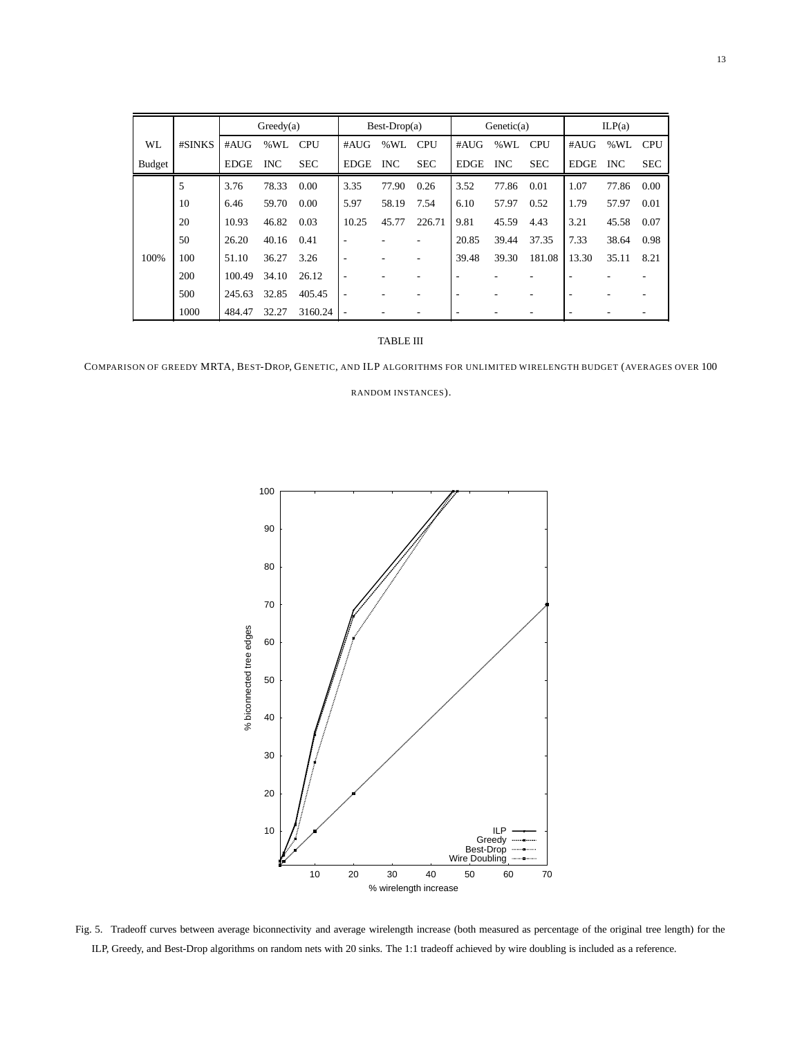|           |        |             | Greedy(a)  |            |             | $Best-Drop(a)$ |            |             | Genetic(a) |            |             | ILP(a)     |            |
|-----------|--------|-------------|------------|------------|-------------|----------------|------------|-------------|------------|------------|-------------|------------|------------|
| <b>WL</b> | #SINKS | #AUG        | % WL       | <b>CPU</b> | #AUG        | %WL            | <b>CPU</b> | #AUG        | %WL        | <b>CPU</b> | #AUG        | %WL        | <b>CPU</b> |
| Budget    |        | <b>EDGE</b> | <b>INC</b> | <b>SEC</b> | <b>EDGE</b> | <b>INC</b>     | <b>SEC</b> | <b>EDGE</b> | <b>INC</b> | <b>SEC</b> | <b>EDGE</b> | <b>INC</b> | <b>SEC</b> |
|           | 5      | 3.76        | 78.33      | 0.00       | 3.35        | 77.90          | 0.26       | 3.52        | 77.86      | 0.01       | 1.07        | 77.86      | 0.00       |
|           | 10     | 6.46        | 59.70      | 0.00       | 5.97        | 58.19          | 7.54       | 6.10        | 57.97      | 0.52       | 1.79        | 57.97      | 0.01       |
|           | 20     | 10.93       | 46.82      | 0.03       | 10.25       | 45.77          | 226.71     | 9.81        | 45.59      | 4.43       | 3.21        | 45.58      | 0.07       |
|           | 50     | 26.20       | 40.16      | 0.41       |             |                |            | 20.85       | 39.44      | 37.35      | 7.33        | 38.64      | 0.98       |
| 100%      | 100    | 51.10       | 36.27      | 3.26       |             |                |            | 39.48       | 39.30      | 181.08     | 13.30       | 35.11      | 8.21       |
|           | 200    | 100.49      | 34.10      | 26.12      | ۰.          |                |            | ٠           |            |            |             |            |            |
|           | 500    | 245.63      | 32.85      | 405.45     |             |                |            |             |            |            |             |            |            |
|           | 1000   | 484.47      | 32.27      | 3160.24    |             |                |            | ۰           |            |            |             |            |            |

## TABLE III

COMPARISON OF GREEDY MRTA, BEST-DROP, GENETIC, AND ILP ALGORITHMS FOR UNLIMITED WIRELENGTH BUDGET (AVERAGES OVER 100

RANDOM INSTANCES).



Fig. 5. Tradeoff curves between average biconnectivity and average wirelength increase (both measured as percentage of the original tree length) for the ILP, Greedy, and Best-Drop algorithms on random nets with 20 sinks. The 1:1 tradeoff achieved by wire doubling is included as a reference.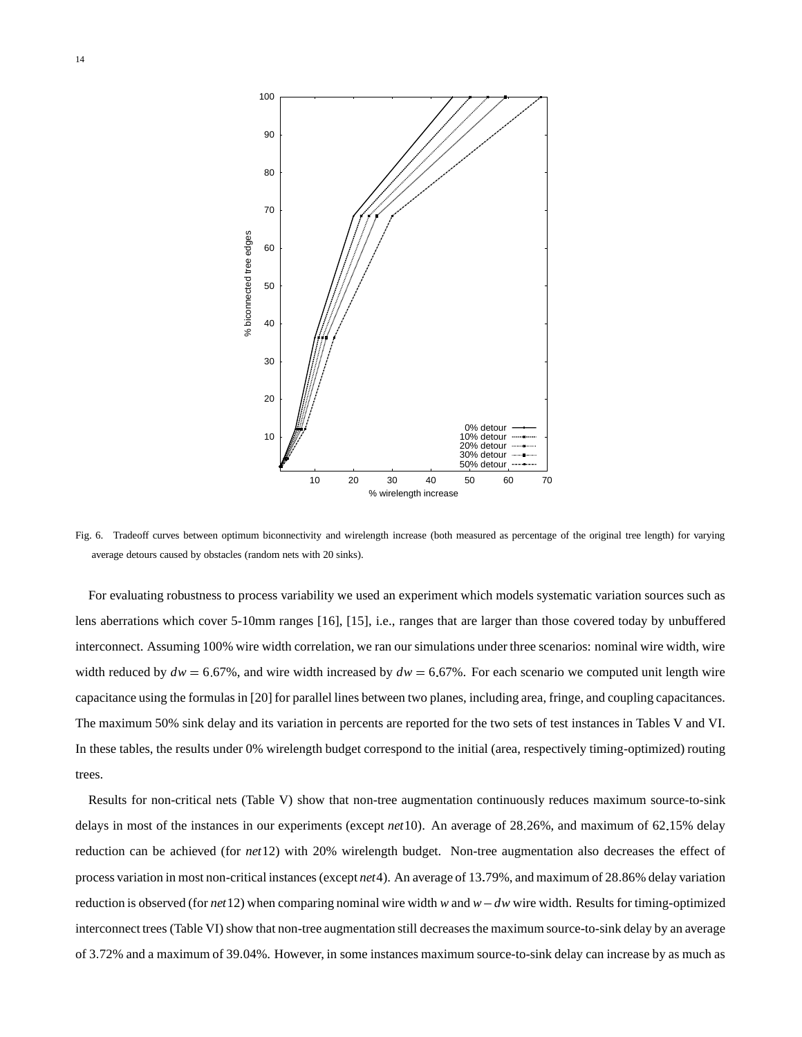

Fig. 6. Tradeoff curves between optimum biconnectivity and wirelength increase (both measured as percentage of the original tree length) for varying average detours caused by obstacles (random nets with 20 sinks).

For evaluating robustness to process variability we used an experiment which models systematic variation sources such as lens aberrations which cover 5-10mm ranges [16], [15], i.e., ranges that are larger than those covered today by unbuffered interconnect. Assuming 100% wire width correlation, we ran our simulations under three scenarios: nominal wire width, wire width reduced by  $dw = 6.67\%$ , and wire width increased by  $dw = 6.67\%$ . For each scenario we computed unit length wire capacitance using the formulas in [20] for parallel lines between two planes, including area, fringe, and coupling capacitances. The maximum 50% sink delay and its variation in percents are reported for the two sets of test instances in Tables V and VI. In these tables, the results under 0% wirelength budget correspond to the initial (area, respectively timing-optimized) routing trees.

Results for non-critical nets (Table V) show that non-tree augmentation continuously reduces maximum source-to-sink delays in most of the instances in our experiments (except *net* 10). An average of 28.26%, and maximum of 62.15% delay reduction can be achieved (for *net*12) with 20% wirelength budget. Non-tree augmentation also decreases the effect of process variation in most non-critical instances (except *net*4). An average of 13 79%, and maximum of 28 86% delay variation reduction is observed (for *net*12) when comparing nominal wire width *w* and *w dw* wire width. Results for timing-optimized interconnect trees (Table VI) show that non-tree augmentation still decreases the maximum source-to-sink delay by an average of 3 72% and a maximum of 39 04%. However, in some instances maximum source-to-sink delay can increase by as much as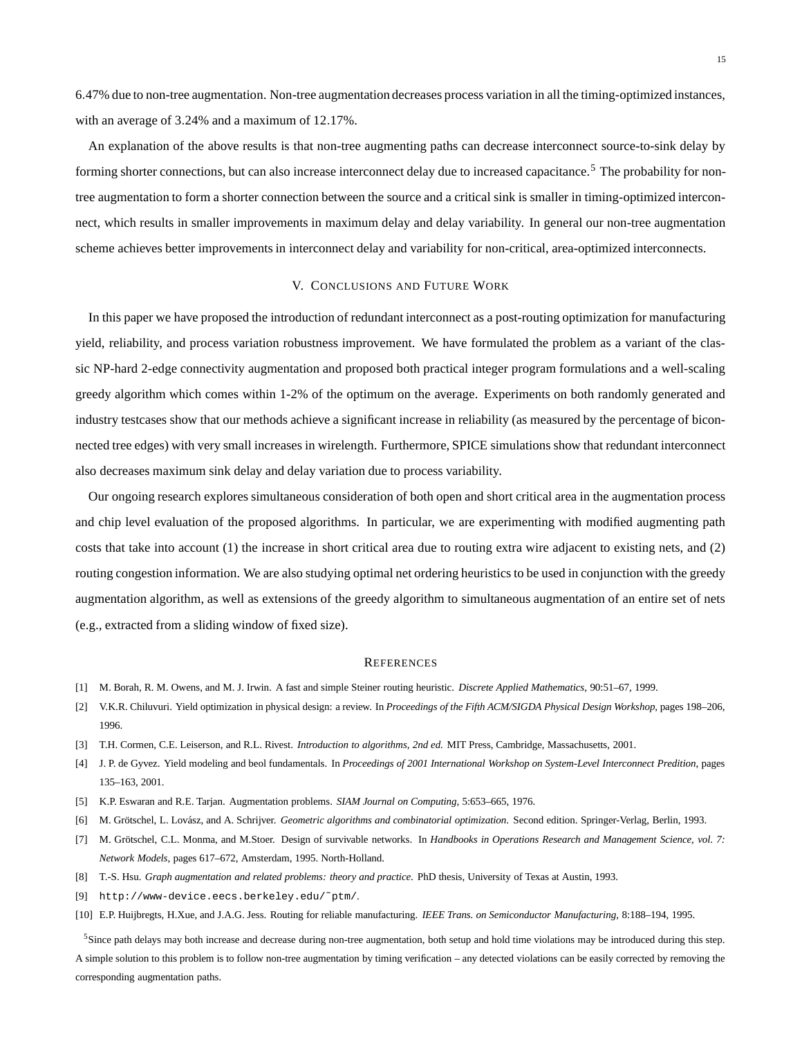6 47% due to non-tree augmentation. Non-tree augmentation decreases process variation in all the timing-optimized instances, with an average of 3.24% and a maximum of 12.17%.

An explanation of the above results is that non-tree augmenting paths can decrease interconnect source-to-sink delay by forming shorter connections, but can also increase interconnect delay due to increased capacitance.<sup>5</sup> The probability for nontree augmentation to form a shorter connection between the source and a critical sink is smaller in timing-optimized interconnect, which results in smaller improvements in maximum delay and delay variability. In general our non-tree augmentation scheme achieves better improvements in interconnect delay and variability for non-critical, area-optimized interconnects.

#### V. CONCLUSIONS AND FUTURE WORK

In this paper we have proposed the introduction of redundant interconnect as a post-routing optimization for manufacturing yield, reliability, and process variation robustness improvement. We have formulated the problem as a variant of the classic NP-hard 2-edge connectivity augmentation and proposed both practical integer program formulations and a well-scaling greedy algorithm which comes within 1-2% of the optimum on the average. Experiments on both randomly generated and industry testcases show that our methods achieve a significant increase in reliability (as measured by the percentage of biconnected tree edges) with very small increases in wirelength. Furthermore, SPICE simulations show that redundant interconnect also decreases maximum sink delay and delay variation due to process variability.

Our ongoing research explores simultaneous consideration of both open and short critical area in the augmentation process and chip level evaluation of the proposed algorithms. In particular, we are experimenting with modified augmenting path costs that take into account (1) the increase in short critical area due to routing extra wire adjacent to existing nets, and (2) routing congestion information. We are also studying optimal net ordering heuristics to be used in conjunction with the greedy augmentation algorithm, as well as extensions of the greedy algorithm to simultaneous augmentation of an entire set of nets (e.g., extracted from a sliding window of fixed size).

#### **REFERENCES**

- [1] M. Borah, R. M. Owens, and M. J. Irwin. A fast and simple Steiner routing heuristic. *Discrete Applied Mathematics*, 90:51–67, 1999.
- [2] V.K.R. Chiluvuri. Yield optimization in physical design: a review. In *Proceedings of the Fifth ACM/SIGDA Physical Design Workshop*, pages 198–206, 1996.
- [3] T.H. Cormen, C.E. Leiserson, and R.L. Rivest. *Introduction to algorithms, 2nd ed.* MIT Press, Cambridge, Massachusetts, 2001.
- [4] J. P. de Gyvez. Yield modeling and beol fundamentals. In *Proceedings of 2001 International Workshop on System-Level Interconnect Predition*, pages 135–163, 2001.
- [5] K.P. Eswaran and R.E. Tarjan. Augmentation problems. *SIAM Journal on Computing*, 5:653–665, 1976.
- [6] M. Grötschel, L. Lovász, and A. Schrijver. *Geometric algorithms and combinatorial optimization*. Second edition. Springer-Verlag, Berlin, 1993.
- [7] M. Grötschel, C.L. Monma, and M.Stoer. Design of survivable networks. In *Handbooks in Operations Research and Management Science, vol.* 7: *Network Models*, pages 617–672, Amsterdam, 1995. North-Holland.
- [8] T.-S. Hsu. *Graph augmentation and related problems: theory and practice*. PhD thesis, University of Texas at Austin, 1993.
- [9] http://www-device.eecs.berkeley.edu/˜ptm/.
- [10] E.P. Huijbregts, H.Xue, and J.A.G. Jess. Routing for reliable manufacturing. *IEEE Trans. on Semiconductor Manufacturing*, 8:188–194, 1995.

<sup>5</sup>Since path delays may both increase and decrease during non-tree augmentation, both setup and hold time violations may be introduced during this step. A simple solution to this problem is to follow non-tree augmentation by timing verification – any detected violations can be easily corrected by removing the corresponding augmentation paths.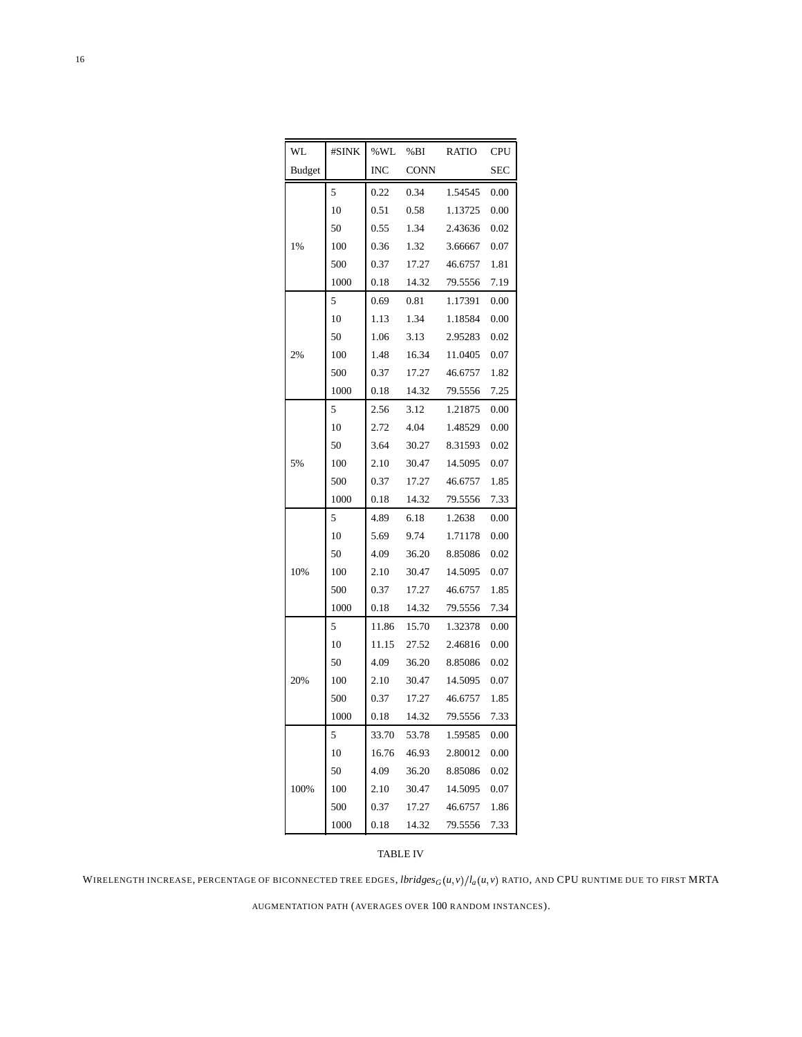| WL            | #SINK | %WL   | %BI         | <b>RATIO</b> | <b>CPU</b> |
|---------------|-------|-------|-------------|--------------|------------|
| <b>Budget</b> |       | INC   | <b>CONN</b> |              | <b>SEC</b> |
|               | 5     | 0.22  | 0.34        | 1.54545      | 0.00       |
|               | 10    | 0.51  | 0.58        | 1.13725      | 0.00       |
|               | 50    | 0.55  | 1.34        | 2.43636      | 0.02       |
| 1%            | 100   | 0.36  | 1.32        | 3.66667      | 0.07       |
|               | 500   | 0.37  | 17.27       | 46.6757      | 1.81       |
|               | 1000  | 0.18  | 14.32       | 79.5556      | 7.19       |
|               | 5     | 0.69  | 0.81        | 1.17391      | 0.00       |
|               | 10    | 1.13  | 1.34        | 1.18584      | 0.00       |
|               | 50    | 1.06  | 3.13        | 2.95283      | 0.02       |
| 2%            | 100   | 1.48  | 16.34       | 11.0405      | 0.07       |
|               | 500   | 0.37  | 17.27       | 46.6757      | 1.82       |
|               | 1000  | 0.18  | 14.32       | 79.5556      | 7.25       |
|               | 5     | 2.56  | 3.12        | 1.21875      | 0.00       |
|               | 10    | 2.72  | 4.04        | 1.48529      | 0.00       |
|               | 50    | 3.64  | 30.27       | 8.31593      | 0.02       |
| 5%            | 100   | 2.10  | 30.47       | 14.5095      | 0.07       |
|               | 500   | 0.37  | 17.27       | 46.6757      | 1.85       |
|               | 1000  | 0.18  | 14.32       | 79.5556      | 7.33       |
|               | 5     | 4.89  | 6.18        | 1.2638       | 0.00       |
|               | 10    | 5.69  | 9.74        | 1.71178      | 0.00       |
|               | 50    | 4.09  | 36.20       | 8.85086      | 0.02       |
| 10%           | 100   | 2.10  | 30.47       | 14.5095      | 0.07       |
|               | 500   | 0.37  | 17.27       | 46.6757      | 1.85       |
|               | 1000  | 0.18  | 14.32       | 79.5556      | 7.34       |
|               | 5     | 11.86 | 15.70       | 1.32378      | 0.00       |
|               | 10    | 11.15 | 27.52       | 2.46816      | 0.00       |
|               | 50    | 4.09  | 36.20       | 8.85086      | 0.02       |
| 20%           | 100   | 2.10  | 30.47       | 14.5095      | 0.07       |
|               | 500   | 0.37  | 17.27       | 46.6757      | 1.85       |
|               | 1000  | 0.18  | 14.32       | 79.5556      | 7.33       |
|               | 5     | 33.70 | 53.78       | 1.59585      | 0.00       |
|               | 10    | 16.76 | 46.93       | 2.80012      | 0.00       |
|               | 50    | 4.09  | 36.20       | 8.85086      | 0.02       |
| 100%          | 100   | 2.10  | 30.47       | 14.5095      | 0.07       |
|               | 500   | 0.37  | 17.27       | 46.6757      | 1.86       |
|               | 1000  | 0.18  | 14.32       | 79.5556      | 7.33       |

# TABLE IV

WIRELENGTH INCREASE, PERCENTAGE OF BICONNECTED TREE EDGES, *lbridges<sub>G</sub>* (*u*, *v*)/ $l_a(u, v)$  ratio, and CPU runtime due to first MRTA

AUGMENTATION PATH (AVERAGES OVER 100 RANDOM INSTANCES).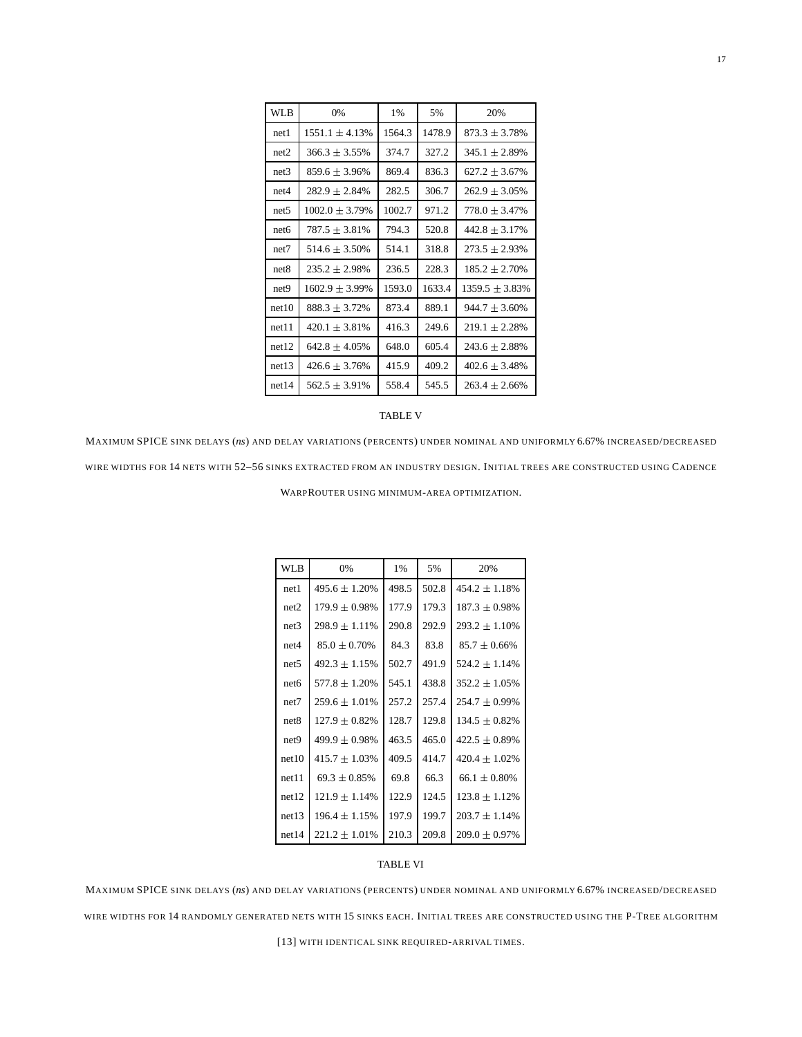| WLB              | 0%                  | 1%     | 5%     | 20%                |
|------------------|---------------------|--------|--------|--------------------|
| net1             | $1551.1 \pm 4.13\%$ | 1564.3 | 1478.9 | $873.3 + 3.78\%$   |
| net2             | $366.3 + 3.55\%$    | 374.7  | 327.2  | $345.1 + 2.89\%$   |
| net3             | $859.6 + 3.96\%$    | 869.4  | 836.3  | $627.2 + 3.67\%$   |
| net4             | $282.9 \pm 2.84\%$  | 282.5  | 306.7  | $262.9 \pm 3.05\%$ |
| net <sub>5</sub> | $1002.0 \pm 3.79\%$ | 1002.7 | 971.2  | $778.0 + 3.47\%$   |
| net <sub>6</sub> | $787.5 \pm 3.81\%$  | 794.3  | 520.8  | $442.8 \pm 3.17\%$ |
| net7             | $514.6 + 3.50\%$    | 514.1  | 318.8  | $273.5 + 2.93\%$   |
| net8             | $235.2 + 2.98\%$    | 236.5  | 228.3  | $185.2 \pm 2.70\%$ |
| net9             | $1602.9 + 3.99\%$   | 1593.0 | 1633.4 | $1359.5 + 3.83\%$  |
| net10            | $888.3 \pm 3.72\%$  | 873.4  | 889.1  | $944.7 \pm 3.60\%$ |
| net11            | $420.1 + 3.81\%$    | 416.3  | 249.6  | $219.1 \pm 2.28\%$ |
| net12            | $642.8 + 4.05\%$    | 648.0  | 605.4  | $243.6 \pm 2.88\%$ |
| net13            | $426.6 \pm 3.76\%$  | 415.9  | 409.2  | $402.6 \pm 3.48\%$ |
| net14            | $562.5 + 3.91\%$    | 558.4  | 545.5  | $263.4 + 2.66\%$   |

#### TABLE V

MAXIMUM SPICE SINK DELAYS (*ns*) AND DELAY VARIATIONS (PERCENTS) UNDER NOMINAL AND UNIFORMLY 6 67% INCREASED/DECREASED WIRE WIDTHS FOR 14 NETS WITH 52–56 SINKS EXTRACTED FROM AN INDUSTRY DESIGN. INITIAL TREES ARE CONSTRUCTED USING CADENCE

WARPROUTER USING MINIMUM-AREA OPTIMIZATION.

| <b>WLB</b>       | 0%                 | 1%    | 5%    | 20%                |
|------------------|--------------------|-------|-------|--------------------|
| net1             | $495.6 \pm 1.20\%$ | 498.5 | 502.8 | $454.2 \pm 1.18\%$ |
| net2             | $179.9 \pm 0.98\%$ | 177.9 | 179.3 | $187.3 \pm 0.98\%$ |
| net3             | $298.9 \pm 1.11\%$ | 290.8 | 292.9 | $293.2 \pm 1.10\%$ |
| net4             | $85.0 \pm 0.70\%$  | 84.3  | 83.8  | $85.7 \pm 0.66\%$  |
| net5             | $492.3 \pm 1.15\%$ | 502.7 | 491.9 | $524.2 \pm 1.14\%$ |
| net6             | $577.8 \pm 1.20\%$ | 545.1 | 438.8 | $352.2 \pm 1.05\%$ |
| net7             | $259.6 \pm 1.01\%$ | 257.2 | 257.4 | $254.7 \pm 0.99\%$ |
| net8             | $127.9 \pm 0.82\%$ | 128.7 | 129.8 | $134.5 \pm 0.82\%$ |
| net <sub>9</sub> | $499.9 \pm 0.98\%$ | 463.5 | 465.0 | $422.5 \pm 0.89\%$ |
| net10            | $415.7 \pm 1.03\%$ | 409.5 | 414.7 | $420.4 \pm 1.02\%$ |
| net11            | $69.3 \pm 0.85\%$  | 69.8  | 66.3  | $66.1 \pm 0.80\%$  |
| net12            | $121.9 \pm 1.14\%$ | 122.9 | 124.5 | $123.8 \pm 1.12\%$ |
| net13            | $196.4 \pm 1.15\%$ | 197.9 | 199.7 | $203.7 \pm 1.14\%$ |
| net14            | $221.2 \pm 1.01\%$ | 210.3 | 209.8 | $209.0 \pm 0.97\%$ |

## TABLE VI

MAXIMUM SPICE SINK DELAYS (*ns*) AND DELAY VARIATIONS (PERCENTS) UNDER NOMINAL AND UNIFORMLY 6 67% INCREASED/DECREASED WIRE WIDTHS FOR 14 RANDOMLY GENERATED NETS WITH 15 SINKS EACH. INITIAL TREES ARE CONSTRUCTED USING THE P-TREE ALGORITHM

[13] WITH IDENTICAL SINK REQUIRED-ARRIVAL TIMES.